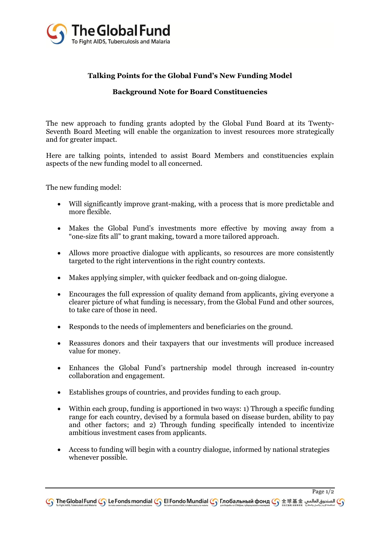

## **Talking Points for the Global Fund's New Funding Model**

## **Background Note for Board Constituencies**

The new approach to funding grants adopted by the Global Fund Board at its Twenty-Seventh Board Meeting will enable the organization to invest resources more strategically and for greater impact.

Here are talking points, intended to assist Board Members and constituencies explain aspects of the new funding model to all concerned.

The new funding model:

- Will significantly improve grant-making, with a process that is more predictable and more flexible.
- Makes the Global Fund's investments more effective by moving away from a "one-size fits all" to grant making, toward a more tailored approach.
- Allows more proactive dialogue with applicants, so resources are more consistently targeted to the right interventions in the right country contexts.
- Makes applying simpler, with quicker feedback and on-going dialogue.
- Encourages the full expression of quality demand from applicants, giving everyone a clearer picture of what funding is necessary, from the Global Fund and other sources, to take care of those in need.
- Responds to the needs of implementers and beneficiaries on the ground.
- Reassures donors and their taxpayers that our investments will produce increased value for money.
- Enhances the Global Fund's partnership model through increased in-country collaboration and engagement.
- Establishes groups of countries, and provides funding to each group.
- Within each group, funding is apportioned in two ways: 1) Through a specific funding range for each country, devised by a formula based on disease burden, ability to pay and other factors; and 2) Through funding specifically intended to incentivize ambitious investment cases from applicants.
- Access to funding will begin with a country dialogue, informed by national strategies whenever possible.

Page 1/2